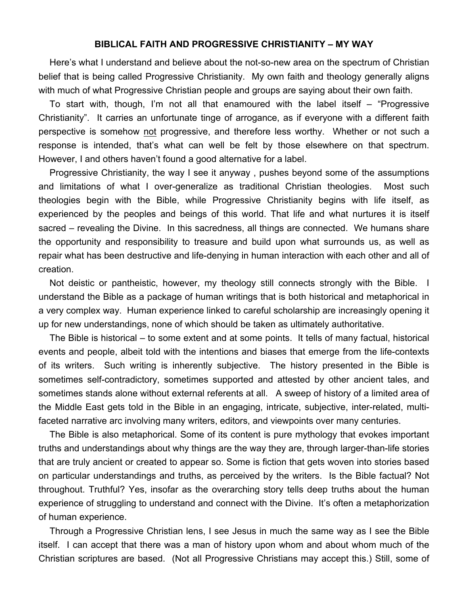## **BIBLICAL FAITH AND PROGRESSIVE CHRISTIANITY – MY WAY**

Here's what I understand and believe about the not-so-new area on the spectrum of Christian belief that is being called Progressive Christianity. My own faith and theology generally aligns with much of what Progressive Christian people and groups are saying about their own faith.

To start with, though, I'm not all that enamoured with the label itself – "Progressive Christianity". It carries an unfortunate tinge of arrogance, as if everyone with a different faith perspective is somehow not progressive, and therefore less worthy. Whether or not such a response is intended, that's what can well be felt by those elsewhere on that spectrum. However, I and others haven't found a good alternative for a label.

Progressive Christianity, the way I see it anyway , pushes beyond some of the assumptions and limitations of what I over-generalize as traditional Christian theologies. Most such theologies begin with the Bible, while Progressive Christianity begins with life itself, as experienced by the peoples and beings of this world. That life and what nurtures it is itself sacred – revealing the Divine. In this sacredness, all things are connected. We humans share the opportunity and responsibility to treasure and build upon what surrounds us, as well as repair what has been destructive and life-denying in human interaction with each other and all of creation.

Not deistic or pantheistic, however, my theology still connects strongly with the Bible. I understand the Bible as a package of human writings that is both historical and metaphorical in a very complex way. Human experience linked to careful scholarship are increasingly opening it up for new understandings, none of which should be taken as ultimately authoritative.

The Bible is historical – to some extent and at some points. It tells of many factual, historical events and people, albeit told with the intentions and biases that emerge from the life-contexts of its writers. Such writing is inherently subjective. The history presented in the Bible is sometimes self-contradictory, sometimes supported and attested by other ancient tales, and sometimes stands alone without external referents at all. A sweep of history of a limited area of the Middle East gets told in the Bible in an engaging, intricate, subjective, inter-related, multifaceted narrative arc involving many writers, editors, and viewpoints over many centuries.

The Bible is also metaphorical. Some of its content is pure mythology that evokes important truths and understandings about why things are the way they are, through larger-than-life stories that are truly ancient or created to appear so. Some is fiction that gets woven into stories based on particular understandings and truths, as perceived by the writers. Is the Bible factual? Not throughout. Truthful? Yes, insofar as the overarching story tells deep truths about the human experience of struggling to understand and connect with the Divine. It's often a metaphorization of human experience.

Through a Progressive Christian lens, I see Jesus in much the same way as I see the Bible itself. I can accept that there was a man of history upon whom and about whom much of the Christian scriptures are based. (Not all Progressive Christians may accept this.) Still, some of